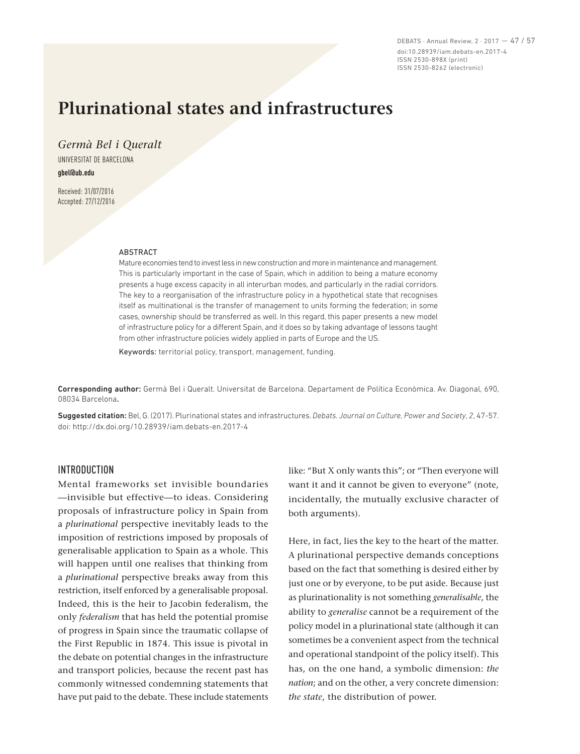DEBATS · Annual Review, 2 · 2017 — 47 / 57 doi:10.28939/iam.debats-en.2017-4 ISSN 2530-898X (print) ISSN 2530-8262 (electronic)

# **Plurinational states and infrastructures**

*Germà Bel i Queralt*  UNIVERSITAT DE BARCELONA **gbel@ub.edu**

Received: 31/07/2016 Accepted: 27/12/2016

#### ABSTRACT

Mature economies tend to invest less in new construction and more in maintenance and management. This is particularly important in the case of Spain, which in addition to being a mature economy presents a huge excess capacity in all interurban modes, and particularly in the radial corridors. The key to a reorganisation of the infrastructure policy in a hypothetical state that recognises itself as multinational is the transfer of management to units forming the federation; in some cases, ownership should be transferred as well. In this regard, this paper presents a new model of infrastructure policy for a different Spain, and it does so by taking advantage of lessons taught from other infrastructure policies widely applied in parts of Europe and the US.

Keywords: territorial policy, transport, management, funding.

Corresponding author: Germà Bel i Queralt. Universitat de Barcelona. Departament de Política Econòmica. Av. Diagonal, 690, 08034 Barcelona.

Suggested citation: Bel, G. (2017). Plurinational states and infrastructures. *Debats. Journal on Culture, Power and Society*, *2*, 47‑57. doi: http://dx.doi.org/10.28939/iam.debats-en.2017-4

#### INTRODUCTION

Mental frameworks set invisible boundaries —invisible but effective—to ideas. Considering proposals of infrastructure policy in Spain from a *plurinational* perspective inevitably leads to the imposition of restrictions imposed by proposals of generalisable application to Spain as a whole. This will happen until one realises that thinking from a *plurinational* perspective breaks away from this restriction, itself enforced by a generalisable proposal. Indeed, this is the heir to Jacobin federalism, the only *federalism* that has held the potential promise of progress in Spain since the traumatic collapse of the First Republic in 1874. This issue is pivotal in the debate on potential changes in the infrastructure and transport policies, because the recent past has commonly witnessed condemning statements that have put paid to the debate. These include statements like: "But X only wants this"; or "Then everyone will want it and it cannot be given to everyone" (note, incidentally, the mutually exclusive character of both arguments).

Here, in fact, lies the key to the heart of the matter. A plurinational perspective demands conceptions based on the fact that something is desired either by just one or by everyone, to be put aside. Because just as plurinationality is not something *generalisable*, the ability to *generalise* cannot be a requirement of the policy model in a plurinational state (although it can sometimes be a convenient aspect from the technical and operational standpoint of the policy itself). This has, on the one hand, a symbolic dimension: *the nation*; and on the other, a very concrete dimension: *the state*, the distribution of power.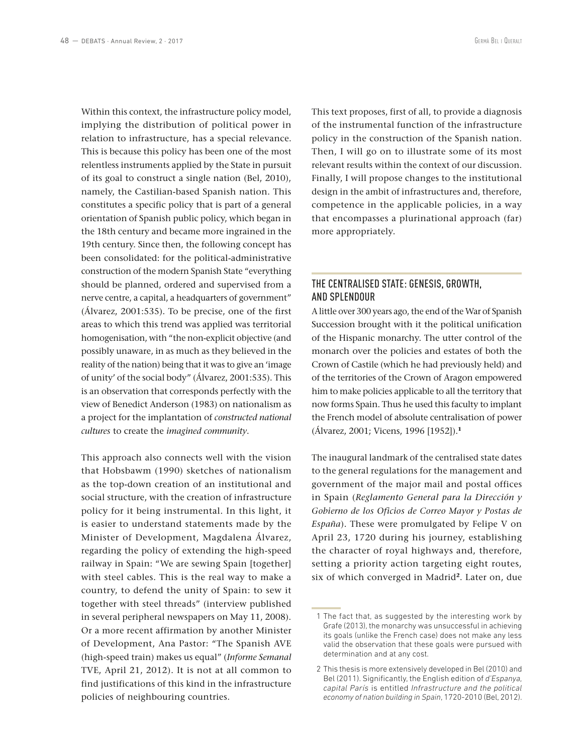Within this context, the infrastructure policy model, implying the distribution of political power in relation to infrastructure, has a special relevance. This is because this policy has been one of the most relentless instruments applied by the State in pursuit of its goal to construct a single nation (Bel, 2010), namely, the Castilian-based Spanish nation. This constitutes a specific policy that is part of a general orientation of Spanish public policy, which began in the 18th century and became more ingrained in the 19th century. Since then, the following concept has been consolidated: for the political-administrative construction of the modern Spanish State "everything should be planned, ordered and supervised from a nerve centre, a capital, a headquarters of government" (Álvarez, 2001:535). To be precise, one of the first areas to which this trend was applied was territorial homogenisation, with "the non-explicit objective (and possibly unaware, in as much as they believed in the reality of the nation) being that it was to give an 'image of unity' of the social body" (Álvarez, 2001:535). This is an observation that corresponds perfectly with the view of Benedict Anderson (1983) on nationalism as a project for the implantation of *constructed national cultures* to create the *imagined community*.

This approach also connects well with the vision that Hobsbawm (1990) sketches of nationalism as the top‑down creation of an institutional and social structure, with the creation of infrastructure policy for it being instrumental. In this light, it is easier to understand statements made by the Minister of Development, Magdalena Álvarez, regarding the policy of extending the high-speed railway in Spain: "We are sewing Spain [together] with steel cables. This is the real way to make a country, to defend the unity of Spain: to sew it together with steel threads" (interview published in several peripheral newspapers on May 11, 2008). Or a more recent affirmation by another Minister of Development, Ana Pastor: "The Spanish AVE (high‑speed train) makes us equal" (*Informe Semanal*  TVE, April 21, 2012). It is not at all common to find justifications of this kind in the infrastructure policies of neighbouring countries.

This text proposes, first of all, to provide a diagnosis of the instrumental function of the infrastructure policy in the construction of the Spanish nation. Then, I will go on to illustrate some of its most relevant results within the context of our discussion. Finally, I will propose changes to the institutional design in the ambit of infrastructures and, therefore, competence in the applicable policies, in a way that encompasses a plurinational approach (far) more appropriately.

### THE CENTRALISED STATE: GENESIS, GROWTH, AND SPLENDOUR

A little over 300 years ago, the end of the War of Spanish Succession brought with it the political unification of the Hispanic monarchy. The utter control of the monarch over the policies and estates of both the Crown of Castile (which he had previously held) and of the territories of the Crown of Aragon empowered him to make policies applicable to all the territory that now forms Spain. Thus he used this faculty to implant the French model of absolute centralisation of power (Álvarez, 2001; Vicens, 1996 [1952]).**<sup>1</sup>**

The inaugural landmark of the centralised state dates to the general regulations for the management and government of the major mail and postal offices in Spain (*Reglamento General para la Dirección y Gobierno de los Oficios de Correo Mayor y Postas de España*). These were promulgated by Felipe V on April 23, 1720 during his journey, establishing the character of royal highways and, therefore, setting a priority action targeting eight routes, six of which converged in Madrid**<sup>2</sup>**. Later on, due

 <sup>1</sup> The fact that, as suggested by the interesting work by Grafe (2013), the monarchy was unsuccessful in achieving its goals (unlike the French case) does not make any less valid the observation that these goals were pursued with determination and at any cost.

<sup>2</sup> This thesis is more extensively developed in Bel (2010) and Bel (2011). Significantly, the English edition of *d'Espanya, capital París* is entitled *Infrastructure and the political economy of nation building in Spain*, 1720‑2010 (Bel, 2012).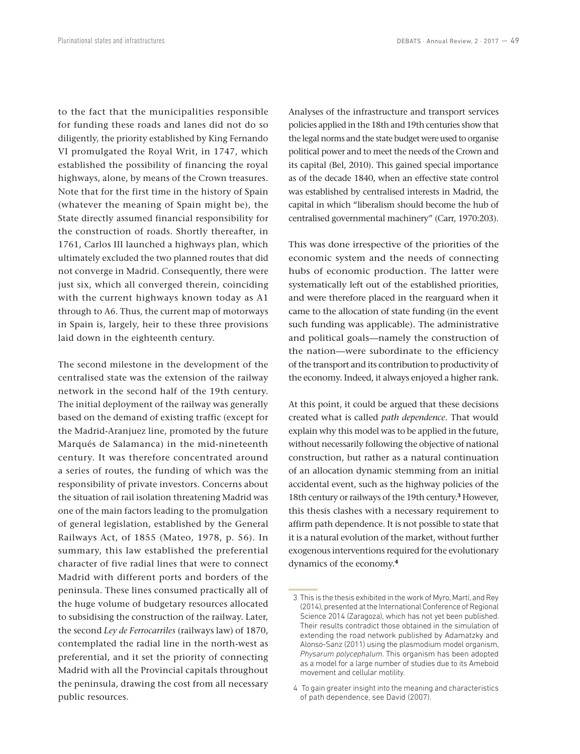to the fact that the municipalities responsible for funding these roads and lanes did not do so diligently, the priority established by King Fernando VI promulgated the Royal Writ, in 1747, which established the possibility of financing the royal highways, alone, by means of the Crown treasures. Note that for the first time in the history of Spain (whatever the meaning of Spain might be), the State directly assumed financial responsibility for the construction of roads. Shortly thereafter, in 1761, Carlos III launched a highways plan, which ultimately excluded the two planned routes that did not converge in Madrid. Consequently, there were just six, which all converged therein, coinciding with the current highways known today as A1 through to A6. Thus, the current map of motorways in Spain is, largely, heir to these three provisions laid down in the eighteenth century.

The second milestone in the development of the centralised state was the extension of the railway network in the second half of the 19th century. The initial deployment of the railway was generally based on the demand of existing traffic (except for the Madrid‑Aranjuez line, promoted by the future Marqués de Salamanca) in the mid-nineteenth century. It was therefore concentrated around a series of routes, the funding of which was the responsibility of private investors. Concerns about the situation of rail isolation threatening Madrid was one of the main factors leading to the promulgation of general legislation, established by the General Railways Act, of 1855 (Mateo, 1978, p. 56). In summary, this law established the preferential character of five radial lines that were to connect Madrid with different ports and borders of the peninsula. These lines consumed practically all of the huge volume of budgetary resources allocated to subsidising the construction of the railway. Later, the second *Ley de Ferrocarriles* (railways law) of 1870, contemplated the radial line in the north-west as preferential, and it set the priority of connecting Madrid with all the Provincial capitals throughout the peninsula, drawing the cost from all necessary public resources.

Analyses of the infrastructure and transport services policies applied in the 18th and 19th centuries show that the legal norms and the state budget were used to organise political power and to meet the needs of the Crown and its capital (Bel, 2010). This gained special importance as of the decade 1840, when an effective state control was established by centralised interests in Madrid, the capital in which "liberalism should become the hub of centralised governmental machinery" (Carr, 1970:203).

This was done irrespective of the priorities of the economic system and the needs of connecting hubs of economic production. The latter were systematically left out of the established priorities, and were therefore placed in the rearguard when it came to the allocation of state funding (in the event such funding was applicable). The administrative and political goals—namely the construction of the nation—were subordinate to the efficiency of the transport and its contribution to productivity of the economy. Indeed, it always enjoyed a higher rank.

At this point, it could be argued that these decisions created what is called *path dependence*. That would explain why this model was to be applied in the future, without necessarily following the objective of national construction, but rather as a natural continuation of an allocation dynamic stemming from an initial accidental event, such as the highway policies of the 18th century or railways of the 19th century.**<sup>3</sup>** However, this thesis clashes with a necessary requirement to affirm path dependence. It is not possible to state that it is a natural evolution of the market, without further exogenous interventions required for the evolutionary dynamics of the economy.**<sup>4</sup>**

 <sup>3</sup> This is the thesis exhibited in the work of Myro, Martí, and Rey (2014), presented at the International Conference of Regional Science 2014 (Zaragoza), which has not yet been published. Their results contradict those obtained in the simulation of extending the road network published by Adamatzky and Alonso‑Sanz (2011) using the plasmodium model organism, *Physarum polycephalum*. This organism has been adopted as a model for a large number of studies due to its Ameboid movement and cellular motility.

 <sup>4</sup> To gain greater insight into the meaning and characteristics of path dependence, see David (2007).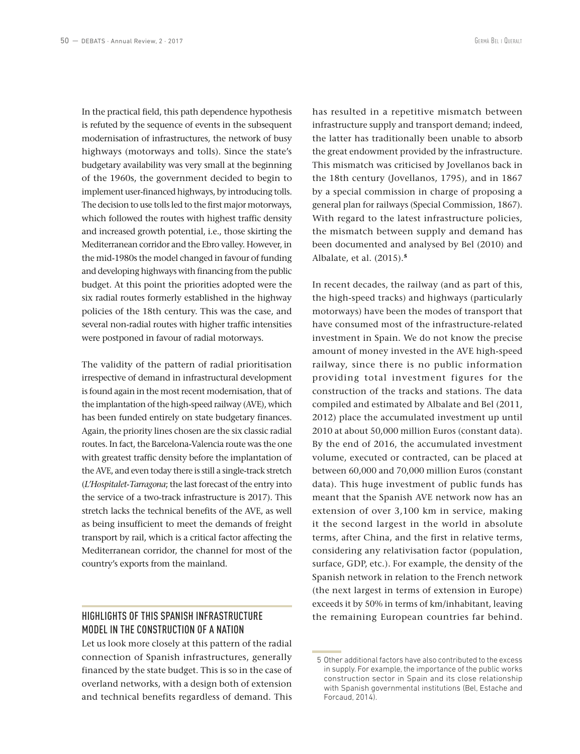In the practical field, this path dependence hypothesis is refuted by the sequence of events in the subsequent modernisation of infrastructures, the network of busy highways (motorways and tolls). Since the state's budgetary availability was very small at the beginning of the 1960s, the government decided to begin to implement user-financed highways, by introducing tolls. The decision to use tolls led to the first major motorways, which followed the routes with highest traffic density and increased growth potential, i.e., those skirting the Mediterranean corridor and the Ebro valley. However, in the mid‑1980s the model changed in favour of funding and developing highways with financing from the public budget. At this point the priorities adopted were the six radial routes formerly established in the highway policies of the 18th century. This was the case, and several non-radial routes with higher traffic intensities were postponed in favour of radial motorways.

The validity of the pattern of radial prioritisation irrespective of demand in infrastructural development is found again in the most recent modernisation, that of the implantation of the high-speed railway (AVE), which has been funded entirely on state budgetary finances. Again, the priority lines chosen are the six classic radial routes. In fact, the Barcelona‑Valencia route was the one with greatest traffic density before the implantation of the AVE, and even today there is still a single-track stretch (*L'Hospitalet‑Tarragona*; the last forecast of the entry into the service of a two-track infrastructure is 2017). This stretch lacks the technical benefits of the AVE, as well as being insufficient to meet the demands of freight transport by rail, which is a critical factor affecting the Mediterranean corridor, the channel for most of the country's exports from the mainland.

## HIGHLIGHTS OF THIS SPANISH INFRASTRUCTURE MODEL IN THE CONSTRUCTION OF A NATION

Let us look more closely at this pattern of the radial connection of Spanish infrastructures, generally financed by the state budget. This is so in the case of overland networks, with a design both of extension and technical benefits regardless of demand. This has resulted in a repetitive mismatch between infrastructure supply and transport demand; indeed, the latter has traditionally been unable to absorb the great endowment provided by the infrastructure. This mismatch was criticised by Jovellanos back in the 18th century (Jovellanos, 1795), and in 1867 by a special commission in charge of proposing a general plan for railways (Special Commission, 1867). With regard to the latest infrastructure policies, the mismatch between supply and demand has been documented and analysed by Bel (2010) and Albalate, et al. (2015).**<sup>5</sup>**

In recent decades, the railway (and as part of this, the high-speed tracks) and highways (particularly motorways) have been the modes of transport that have consumed most of the infrastructure-related investment in Spain. We do not know the precise amount of money invested in the AVE high-speed railway, since there is no public information providing total investment figures for the construction of the tracks and stations. The data compiled and estimated by Albalate and Bel (2011, 2012) place the accumulated investment up until 2010 at about 50,000 million Euros (constant data). By the end of 2016, the accumulated investment volume, executed or contracted, can be placed at between 60,000 and 70,000 million Euros (constant data). This huge investment of public funds has meant that the Spanish AVE network now has an extension of over 3,100 km in service, making it the second largest in the world in absolute terms, after China, and the first in relative terms, considering any relativisation factor (population, surface, GDP, etc.). For example, the density of the Spanish network in relation to the French network (the next largest in terms of extension in Europe) exceeds it by 50% in terms of km/inhabitant, leaving the remaining European countries far behind.

 <sup>5</sup> Other additional factors have also contributed to the excess in supply. For example, the importance of the public works construction sector in Spain and its close relationship with Spanish governmental institutions (Bel, Estache and Forcaud, 2014).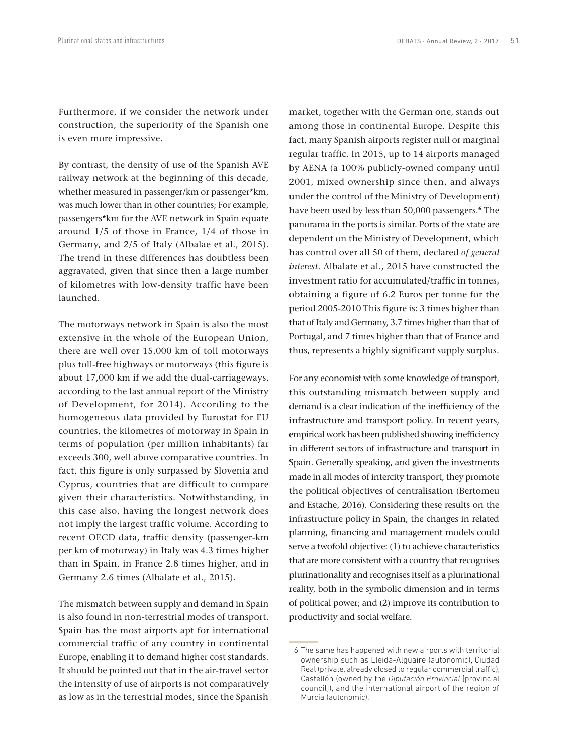Furthermore, if we consider the network under construction, the superiority of the Spanish one is even more impressive.

By contrast, the density of use of the Spanish AVE railway network at the beginning of this decade, whether measured in passenger/km or passenger\*km, was much lower than in other countries; For example, passengers\*km for the AVE network in Spain equate around 1/5 of those in France, 1/4 of those in Germany, and 2/5 of Italy (Albalae et al., 2015). The trend in these differences has doubtless been aggravated, given that since then a large number of kilometres with low‑density traffic have been launched.

The motorways network in Spain is also the most extensive in the whole of the European Union, there are well over 15,000 km of toll motorways plus toll‑free highways or motorways (this figure is about 17,000 km if we add the dual-carriageways, according to the last annual report of the Ministry of Development, for 2014). According to the homogeneous data provided by Eurostat for EU countries, the kilometres of motorway in Spain in terms of population (per million inhabitants) far exceeds 300, well above comparative countries. In fact, this figure is only surpassed by Slovenia and Cyprus, countries that are difficult to compare given their characteristics. Notwithstanding, in this case also, having the longest network does not imply the largest traffic volume. According to recent OECD data, traffic density (passenger-km per km of motorway) in Italy was 4.3 times higher than in Spain, in France 2.8 times higher, and in Germany 2.6 times (Albalate et al., 2015).

The mismatch between supply and demand in Spain is also found in non-terrestrial modes of transport. Spain has the most airports apt for international commercial traffic of any country in continental Europe, enabling it to demand higher cost standards. It should be pointed out that in the air-travel sector the intensity of use of airports is not comparatively as low as in the terrestrial modes, since the Spanish

market, together with the German one, stands out among those in continental Europe. Despite this fact, many Spanish airports register null or marginal regular traffic. In 2015, up to 14 airports managed by AENA (a 100% publicly‑owned company until 2001, mixed ownership since then, and always under the control of the Ministry of Development) have been used by less than 50,000 passengers.**<sup>6</sup>** The panorama in the ports is similar. Ports of the state are dependent on the Ministry of Development, which has control over all 50 of them, declared *of general interest*. Albalate et al., 2015 have constructed the investment ratio for accumulated/traffic in tonnes, obtaining a figure of 6.2 Euros per tonne for the period 2005‑2010 This figure is: 3 times higher than that of Italy and Germany, 3.7 times higher than that of Portugal, and 7 times higher than that of France and thus, represents a highly significant supply surplus.

For any economist with some knowledge of transport, this outstanding mismatch between supply and demand is a clear indication of the inefficiency of the infrastructure and transport policy. In recent years, empirical work has been published showing inefficiency in different sectors of infrastructure and transport in Spain. Generally speaking, and given the investments made in all modes of intercity transport, they promote the political objectives of centralisation (Bertomeu and Estache, 2016). Considering these results on the infrastructure policy in Spain, the changes in related planning, financing and management models could serve a twofold objective: (1) to achieve characteristics that are more consistent with a country that recognises plurinationality and recognises itself as a plurinational reality, both in the symbolic dimension and in terms of political power; and (2) improve its contribution to productivity and social welfare.

 <sup>6</sup> The same has happened with new airports with territorial ownership such as Lleida‑Alguaire (autonomic), Ciudad Real (private, already closed to regular commercial traffic), Castellón (owned by the *Diputación Provincial* [provincial council]), and the international airport of the region of Murcia (autonomic).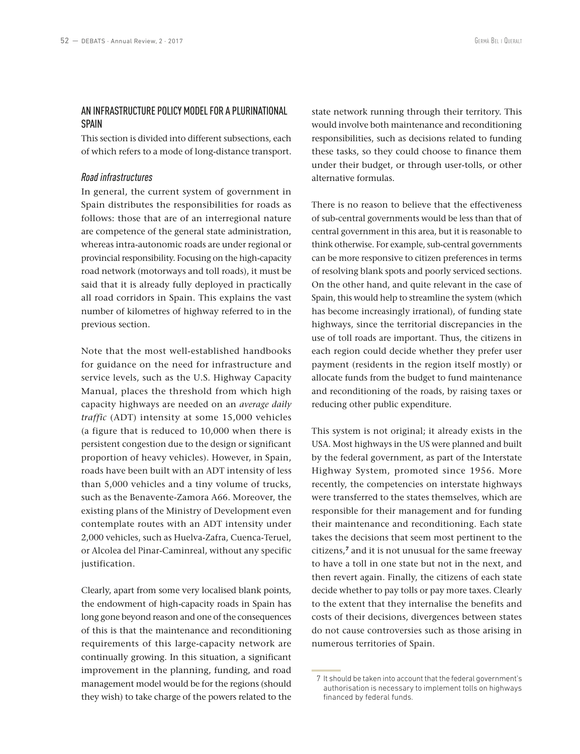#### AN INFRASTRUCTURE POLICY MODEL FOR A PLURINATIONAL **SPAIN**

This section is divided into different subsections, each of which refers to a mode of long‑distance transport.

#### *Road infrastructures*

In general, the current system of government in Spain distributes the responsibilities for roads as follows: those that are of an interregional nature are competence of the general state administration, whereas intra‑autonomic roads are under regional or provincial responsibility. Focusing on the high-capacity road network (motorways and toll roads), it must be said that it is already fully deployed in practically all road corridors in Spain. This explains the vast number of kilometres of highway referred to in the previous section.

Note that the most well‑established handbooks for guidance on the need for infrastructure and service levels, such as the U.S. Highway Capacity Manual, places the threshold from which high capacity highways are needed on an *average daily traffic* (ADT) intensity at some 15,000 vehicles (a figure that is reduced to 10,000 when there is persistent congestion due to the design or significant proportion of heavy vehicles). However, in Spain, roads have been built with an ADT intensity of less than 5,000 vehicles and a tiny volume of trucks, such as the Benavente‑Zamora A66. Moreover, the existing plans of the Ministry of Development even contemplate routes with an ADT intensity under 2,000 vehicles, such as Huelva‑Zafra, Cuenca‑Teruel, or Alcolea del Pinar‑Caminreal, without any specific justification.

Clearly, apart from some very localised blank points, the endowment of high-capacity roads in Spain has long gone beyond reason and one of the consequences of this is that the maintenance and reconditioning requirements of this large‑capacity network are continually growing. In this situation, a significant improvement in the planning, funding, and road management model would be for the regions (should they wish) to take charge of the powers related to the

state network running through their territory. This would involve both maintenance and reconditioning responsibilities, such as decisions related to funding these tasks, so they could choose to finance them under their budget, or through user-tolls, or other alternative formulas.

There is no reason to believe that the effectiveness of sub‑central governments would be less than that of central government in this area, but it is reasonable to think otherwise. For example, sub-central governments can be more responsive to citizen preferences in terms of resolving blank spots and poorly serviced sections. On the other hand, and quite relevant in the case of Spain, this would help to streamline the system (which has become increasingly irrational), of funding state highways, since the territorial discrepancies in the use of toll roads are important. Thus, the citizens in each region could decide whether they prefer user payment (residents in the region itself mostly) or allocate funds from the budget to fund maintenance and reconditioning of the roads, by raising taxes or reducing other public expenditure.

This system is not original; it already exists in the USA. Most highways in the US were planned and built by the federal government, as part of the Interstate Highway System, promoted since 1956. More recently, the competencies on interstate highways were transferred to the states themselves, which are responsible for their management and for funding their maintenance and reconditioning. Each state takes the decisions that seem most pertinent to the citizens,**<sup>7</sup>** and it is not unusual for the same freeway to have a toll in one state but not in the next, and then revert again. Finally, the citizens of each state decide whether to pay tolls or pay more taxes. Clearly to the extent that they internalise the benefits and costs of their decisions, divergences between states do not cause controversies such as those arising in numerous territories of Spain.

 <sup>7</sup> It should be taken into account that the federal government's authorisation is necessary to implement tolls on highways financed by federal funds.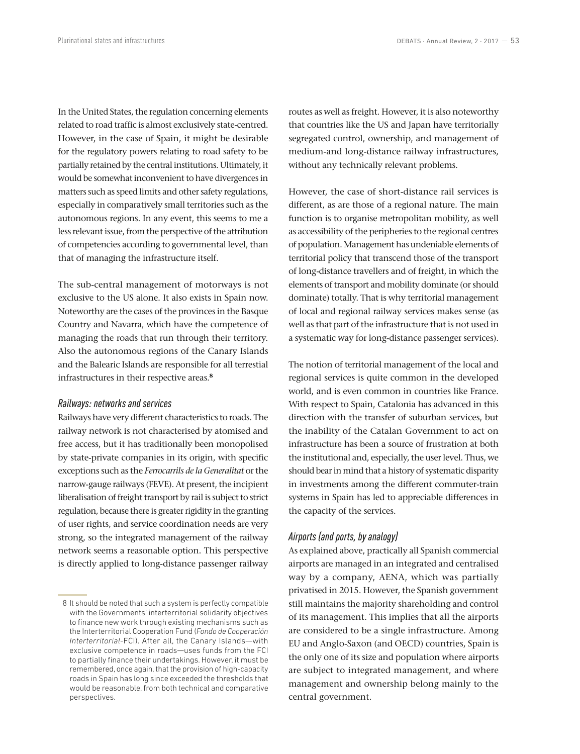In the United States, the regulation concerning elements related to road traffic is almost exclusively state‑centred. However, in the case of Spain, it might be desirable for the regulatory powers relating to road safety to be partially retained by the central institutions. Ultimately, it would be somewhat inconvenient to have divergences in matters such as speed limits and other safety regulations, especially in comparatively small territories such as the autonomous regions. In any event, this seems to me a less relevant issue, from the perspective of the attribution of competencies according to governmental level, than that of managing the infrastructure itself.

The sub‑central management of motorways is not exclusive to the US alone. It also exists in Spain now. Noteworthy are the cases of the provinces in the Basque Country and Navarra, which have the competence of managing the roads that run through their territory. Also the autonomous regions of the Canary Islands and the Balearic Islands are responsible for all terrestial infrastructures in their respective areas.**<sup>8</sup>**

#### *Railways: networks and services*

Railways have very different characteristics to roads. The railway network is not characterised by atomised and free access, but it has traditionally been monopolised by state‑private companies in its origin, with specific exceptions such as the *Ferrocarrils de la Generalitat* or the narrow‑gauge railways (FEVE). At present, the incipient liberalisation of freight transport by rail is subject to strict regulation, because there is greater rigidity in the granting of user rights, and service coordination needs are very strong, so the integrated management of the railway network seems a reasonable option. This perspective is directly applied to long-distance passenger railway routes as well as freight. However, it is also noteworthy that countries like the US and Japan have territorially segregated control, ownership, and management of medium‑and long‑distance railway infrastructures, without any technically relevant problems.

However, the case of short-distance rail services is different, as are those of a regional nature. The main function is to organise metropolitan mobility, as well as accessibility of the peripheries to the regional centres of population. Management has undeniable elements of territorial policy that transcend those of the transport of long‑distance travellers and of freight, in which the elements of transport and mobility dominate (or should dominate) totally. That is why territorial management of local and regional railway services makes sense (as well as that part of the infrastructure that is not used in a systematic way for long-distance passenger services).

The notion of territorial management of the local and regional services is quite common in the developed world, and is even common in countries like France. With respect to Spain, Catalonia has advanced in this direction with the transfer of suburban services, but the inability of the Catalan Government to act on infrastructure has been a source of frustration at both the institutional and, especially, the user level. Thus, we should bear in mind that a history of systematic disparity in investments among the different commuter-train systems in Spain has led to appreciable differences in the capacity of the services.

#### *Airports (and ports, by analogy)*

As explained above, practically all Spanish commercial airports are managed in an integrated and centralised way by a company, AENA, which was partially privatised in 2015. However, the Spanish government still maintains the majority shareholding and control of its management. This implies that all the airports are considered to be a single infrastructure. Among EU and Anglo‑Saxon (and OECD) countries, Spain is the only one of its size and population where airports are subject to integrated management, and where management and ownership belong mainly to the central government.

 <sup>8</sup> It should be noted that such a system is perfectly compatible with the Governments' interterritorial solidarity objectives to finance new work through existing mechanisms such as the Interterritorial Cooperation Fund (*Fondo de Cooperación Interterritorial*-FCI). After all, the Canary Islands—with exclusive competence in roads—uses funds from the FCI to partially finance their undertakings. However, it must be remembered, once again, that the provision of high-capacity roads in Spain has long since exceeded the thresholds that would be reasonable, from both technical and comparative perspectives.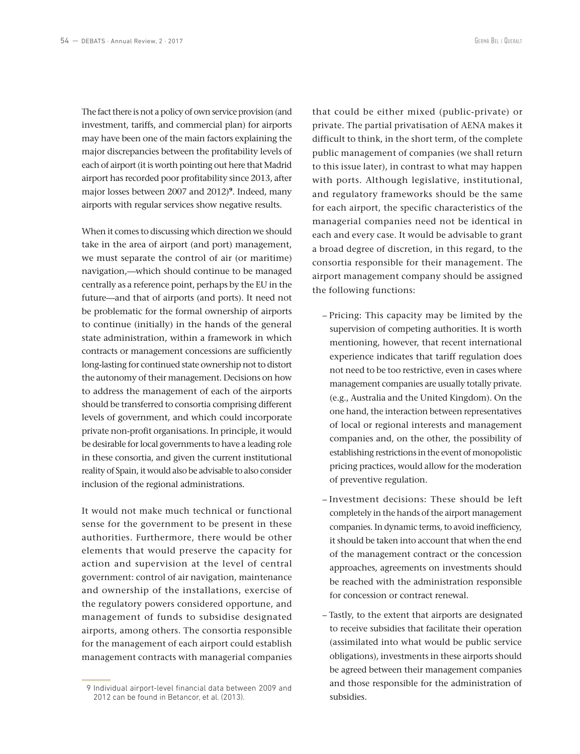The fact there is not a policy of own service provision (and investment, tariffs, and commercial plan) for airports may have been one of the main factors explaining the major discrepancies between the profitability levels of each of airport (it is worth pointing out here that Madrid airport has recorded poor profitability since 2013, after major losses between 2007 and 2012)**<sup>9</sup>**. Indeed, many airports with regular services show negative results.

When it comes to discussing which direction we should take in the area of airport (and port) management, we must separate the control of air (or maritime) navigation,—which should continue to be managed centrally as a reference point, perhaps by the EU in the future—and that of airports (and ports). It need not be problematic for the formal ownership of airports to continue (initially) in the hands of the general state administration, within a framework in which contracts or management concessions are sufficiently long‑lasting for continued state ownership not to distort the autonomy of their management. Decisions on how to address the management of each of the airports should be transferred to consortia comprising different levels of government, and which could incorporate private non‑profit organisations. In principle, it would be desirable for local governments to have a leading role in these consortia, and given the current institutional reality of Spain, it would also be advisable to also consider inclusion of the regional administrations.

It would not make much technical or functional sense for the government to be present in these authorities. Furthermore, there would be other elements that would preserve the capacity for action and supervision at the level of central government: control of air navigation, maintenance and ownership of the installations, exercise of the regulatory powers considered opportune, and management of funds to subsidise designated airports, among others. The consortia responsible for the management of each airport could establish management contracts with managerial companies

9 Individual airport‑level financial data between 2009 and 2012 can be found in Betancor, et al. (2013).

that could be either mixed (public‑private) or private. The partial privatisation of AENA makes it difficult to think, in the short term, of the complete public management of companies (we shall return to this issue later), in contrast to what may happen with ports. Although legislative, institutional, and regulatory frameworks should be the same for each airport, the specific characteristics of the managerial companies need not be identical in each and every case. It would be advisable to grant a broad degree of discretion, in this regard, to the consortia responsible for their management. The airport management company should be assigned the following functions:

- Pricing: This capacity may be limited by the supervision of competing authorities. It is worth mentioning, however, that recent international experience indicates that tariff regulation does not need to be too restrictive, even in cases where management companies are usually totally private. (e.g., Australia and the United Kingdom). On the one hand, the interaction between representatives of local or regional interests and management companies and, on the other, the possibility of establishing restrictions in the event of monopolistic pricing practices, would allow for the moderation of preventive regulation.
- Investment decisions: These should be left completely in the hands of the airport management companies. In dynamic terms, to avoid inefficiency, it should be taken into account that when the end of the management contract or the concession approaches, agreements on investments should be reached with the administration responsible for concession or contract renewal.
- Tastly, to the extent that airports are designated to receive subsidies that facilitate their operation (assimilated into what would be public service obligations), investments in these airports should be agreed between their management companies and those responsible for the administration of subsidies.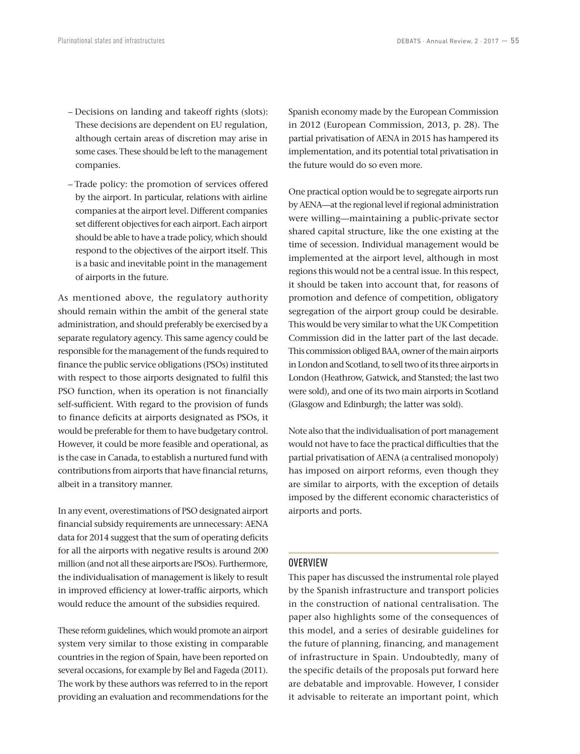- Decisions on landing and takeoff rights (slots): These decisions are dependent on EU regulation, although certain areas of discretion may arise in some cases. These should be left to the management companies.
- Trade policy: the promotion of services offered by the airport. In particular, relations with airline companies at the airport level. Different companies set different objectives for each airport. Each airport should be able to have a trade policy, which should respond to the objectives of the airport itself. This is a basic and inevitable point in the management of airports in the future.

As mentioned above, the regulatory authority should remain within the ambit of the general state administration, and should preferably be exercised by a separate regulatory agency. This same agency could be responsible for the management of the funds required to finance the public service obligations (PSOs) instituted with respect to those airports designated to fulfil this PSO function, when its operation is not financially self-sufficient. With regard to the provision of funds to finance deficits at airports designated as PSOs, it would be preferable for them to have budgetary control. However, it could be more feasible and operational, as is the case in Canada, to establish a nurtured fund with contributions from airports that have financial returns, albeit in a transitory manner.

In any event, overestimations of PSO designated airport financial subsidy requirements are unnecessary: AENA data for 2014 suggest that the sum of operating deficits for all the airports with negative results is around 200 million (and not all these airports are PSOs). Furthermore, the individualisation of management is likely to result in improved efficiency at lower-traffic airports, which would reduce the amount of the subsidies required.

These reform guidelines, which would promote an airport system very similar to those existing in comparable countries in the region of Spain, have been reported on several occasions, for example by Bel and Fageda (2011). The work by these authors was referred to in the report providing an evaluation and recommendations for the Spanish economy made by the European Commission in 2012 (European Commission, 2013, p. 28). The partial privatisation of AENA in 2015 has hampered its implementation, and its potential total privatisation in the future would do so even more.

One practical option would be to segregate airports run by AENA—at the regional level if regional administration were willing—maintaining a public-private sector shared capital structure, like the one existing at the time of secession. Individual management would be implemented at the airport level, although in most regions this would not be a central issue. In this respect, it should be taken into account that, for reasons of promotion and defence of competition, obligatory segregation of the airport group could be desirable. This would be very similar to what the UK Competition Commission did in the latter part of the last decade. This commission obliged BAA, owner of the main airports in London and Scotland, to sell two of its three airports in London (Heathrow, Gatwick, and Stansted; the last two were sold), and one of its two main airports in Scotland (Glasgow and Edinburgh; the latter was sold).

Note also that the individualisation of port management would not have to face the practical difficulties that the partial privatisation of AENA (a centralised monopoly) has imposed on airport reforms, even though they are similar to airports, with the exception of details imposed by the different economic characteristics of airports and ports.

#### OVERVIEW

This paper has discussed the instrumental role played by the Spanish infrastructure and transport policies in the construction of national centralisation. The paper also highlights some of the consequences of this model, and a series of desirable guidelines for the future of planning, financing, and management of infrastructure in Spain. Undoubtedly, many of the specific details of the proposals put forward here are debatable and improvable. However, I consider it advisable to reiterate an important point, which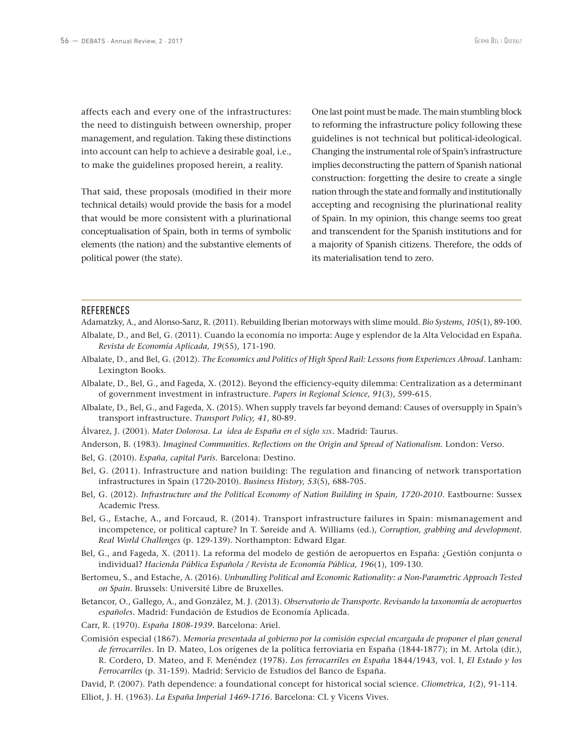affects each and every one of the infrastructures: the need to distinguish between ownership, proper management, and regulation. Taking these distinctions into account can help to achieve a desirable goal, i.e., to make the guidelines proposed herein, a reality.

That said, these proposals (modified in their more technical details) would provide the basis for a model that would be more consistent with a plurinational conceptualisation of Spain, both in terms of symbolic elements (the nation) and the substantive elements of political power (the state).

One last point must be made. The main stumbling block to reforming the infrastructure policy following these guidelines is not technical but political‑ideological. Changing the instrumental role of Spain's infrastructure implies deconstructing the pattern of Spanish national construction: forgetting the desire to create a single nation through the state and formally and institutionally accepting and recognising the plurinational reality of Spain. In my opinion, this change seems too great and transcendent for the Spanish institutions and for a majority of Spanish citizens. Therefore, the odds of its materialisation tend to zero.

#### **REFERENCES**

Adamatzky, A., and Alonso‑Sanz, R. (2011). Rebuilding Iberian motorways with slime mould. *Bio Systems*, *105*(1), 89‑100.

- Albalate, D., and Bel, G. (2011). Cuando la economía no importa: Auge y esplendor de la Alta Velocidad en España. *Revista de Economía Aplicada, 19*(55), 171‑190.
- Albalate, D., and Bel, G. (2012). *The Economics and Politics of High Speed Rail: Lessons from Experiences Abroad*. Lanham: Lexington Books.
- Albalate, D., Bel, G., and Fageda, X. (2012). Beyond the efficiency‑equity dilemma: Centralization as a determinant of government investment in infrastructure. *Papers in Regional Science, 91*(3), 599‑615.
- Albalate, D., Bel, G., and Fageda, X. (2015). When supply travels far beyond demand: Causes of oversupply in Spain's transport infrastructure. *Transport Policy, 41*, 80‑89.
- Álvarez, J. (2001). *Mater Dolorosa. La idea de España en el siglo xix*. Madrid: Taurus.

Anderson, B. (1983). *Imagined Communities. Reflections on the Origin and Spread of Nationalism*. London: Verso.

- Bel, G. (2010). *España, capital París*. Barcelona: Destino.
- Bel, G. (2011). Infrastructure and nation building: The regulation and financing of network transportation infrastructures in Spain (1720‑2010). *Business History, 53*(5), 688‑705.
- Bel, G. (2012). *Infrastructure and the Political Economy of Nation Building in Spain, 1720-2010*. Eastbourne: Sussex Academic Press.
- Bel, G., Estache, A., and Forcaud, R. (2014). Transport infrastructure failures in Spain: mismanagement and incompetence, or political capture? In T. Søreide and A. Williams (ed.), *Corruption, grabbing and development. Real World Challenges* (p. 129‑139). Northampton: Edward Elgar.
- Bel, G., and Fageda, X. (2011). La reforma del modelo de gestión de aeropuertos en España: ¿Gestión conjunta o individual? *Hacienda Pública Española / Revista de Economía Pública, 196*(1), 109‑130.
- Bertomeu, S., and Estache, A. (2016). *Unbundling Political and Economic Rationality: a Non‑Parametric Approach Tested on Spain*. Brussels: Université Libre de Bruxelles.
- Betancor, O., Gallego, A., and González, M. J. (2013). *Observatorio de Transporte. Revisando la taxonomía de aeropuertos españoles*. Madrid: Fundación de Estudios de Economía Aplicada.
- Carr, R. (1970). *España 1808*‑*1939*. Barcelona: Ariel.

Comisión especial (1867). *Memoria presentada al gobierno por la comisión especial encargada de proponer el plan general*  de ferrocarriles. In D. Mateo, Los orígenes de la política ferroviaria en España (1844-1877); in M. Artola (dir.), R. Cordero, D. Mateo, and F. Menéndez (1978). *Los ferrocarriles en España* 1844/1943, vol. I, *El Estado y los Ferrocarriles* (p. 31‑159). Madrid: Servicio de Estudios del Banco de España.

David, P. (2007). Path dependence: a foundational concept for historical social science. *Cliometrica*, 1(2), 91-114.

Elliot, J. H. (1963). *La España Imperial 1469‑1716*. Barcelona: CL y Vicens Vives.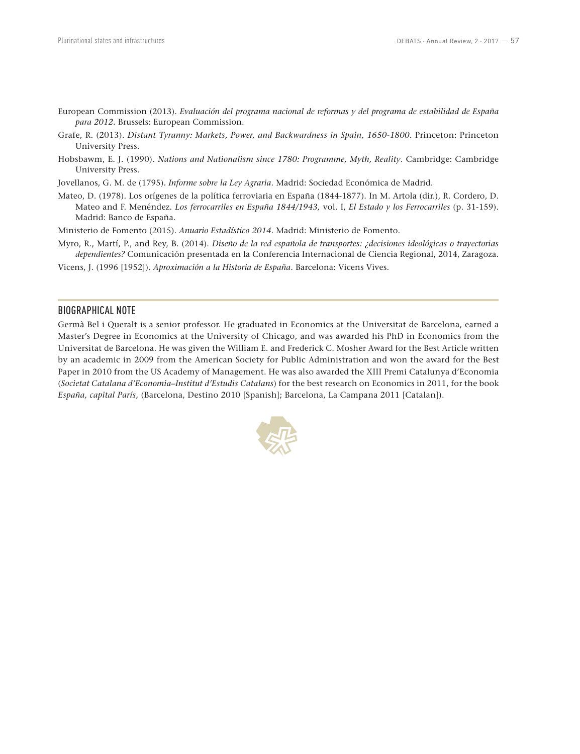- European Commission (2013). *Evaluación del programa nacional de reformas y del programa de estabilidad de España para 2012*. Brussels: European Commission.
- Grafe, R. (2013). *Distant Tyranny: Markets, Power, and Backwardness in Spain, 1650‑1800*. Princeton: Princeton University Press.
- Hobsbawm, E. J. (1990). *Nations and Nationalism since 1780: Programme, Myth, Reality*. Cambridge: Cambridge University Press.
- Jovellanos, G. M. de (1795). *Informe sobre la Ley Agraria*. Madrid: Sociedad Económica de Madrid.
- Mateo, D. (1978). Los orígenes de la política ferroviaria en España (1844‑1877). In M. Artola (dir.), R. Cordero, D. Mateo and F. Menéndez. *Los ferrocarriles en España 1844/1943,* vol. I, *El Estado y los Ferrocarriles* (p. 31‑159). Madrid: Banco de España.
- Ministerio de Fomento (2015). *Anuario Estadístico 2014*. Madrid: Ministerio de Fomento.
- Myro, R., Martí, P., and Rey, B. (2014). *Diseño de la red española de transportes: ¿decisiones ideológicas o trayectorias dependientes?* Comunicación presentada en la Conferencia Internacional de Ciencia Regional, 2014, Zaragoza.
- Vicens, J. (1996 [1952]). *Aproximación a la Historia de España*. Barcelona: Vicens Vives.

#### BIOGRAPHICAL NOTE

Germà Bel i Queralt is a senior professor. He graduated in Economics at the Universitat de Barcelona, earned a Master's Degree in Economics at the University of Chicago, and was awarded his PhD in Economics from the Universitat de Barcelona. He was given the William E. and Frederick C. Mosher Award for the Best Article written by an academic in 2009 from the American Society for Public Administration and won the award for the Best Paper in 2010 from the US Academy of Management. He was also awarded the XIII Premi Catalunya d'Economia (*Societat Catalana d'Economia–Institut d'Estudis Catalans*) for the best research on Economics in 2011, for the book *España, capital París,* (Barcelona, Destino 2010 [Spanish]; Barcelona, La Campana 2011 [Catalan]).